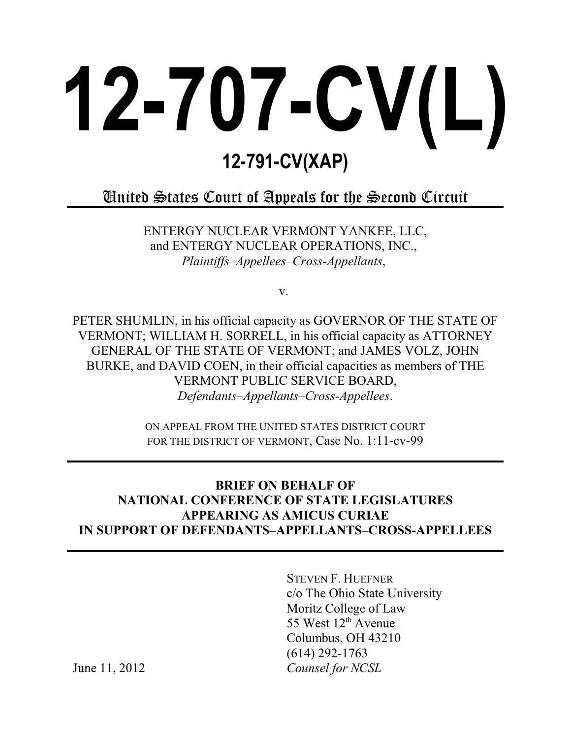# **12-707-CV(L) 12-791-CV(XAP)**

## United States Court of Appeals for the Second Circuit

ENTERGY NUCLEAR VERMONT YANKEE, LLC, and ENTERGY NUCLEAR OPERATIONS, INC., *Plaintiffs–Appellees–Cross-Appellants*,

v.

PETER SHUMLIN, in his official capacity as GOVERNOR OF THE STATE OF VERMONT; WILLIAM H. SORRELL, in his official capacity as ATTORNEY GENERAL OF THE STATE OF VERMONT; and JAMES VOLZ, JOHN BURKE, and DAVID COEN, in their official capacities as members of THE VERMONT PUBLIC SERVICE BOARD, *Defendants–Appellants–Cross-Appellees*.

> ON APPEAL FROM THE UNITED STATES DISTRICT COURT FOR THE DISTRICT OF VERMONT, Case No. 1:11-cv-99

### **BRIEF ON BEHALF OF NATIONAL CONFERENCE OF STATE LEGISLATURES APPEARING AS AMICUS CURIAE IN SUPPORT OF DEFENDANTS–APPELLANTS–CROSS-APPELLEES**

STEVEN F. HUEFNER c/o The Ohio State University Moritz College of Law 55 West  $12<sup>th</sup>$  Avenue Columbus, OH 43210 (614) 292-1763 *Counsel for NCSL*

June 11, 2012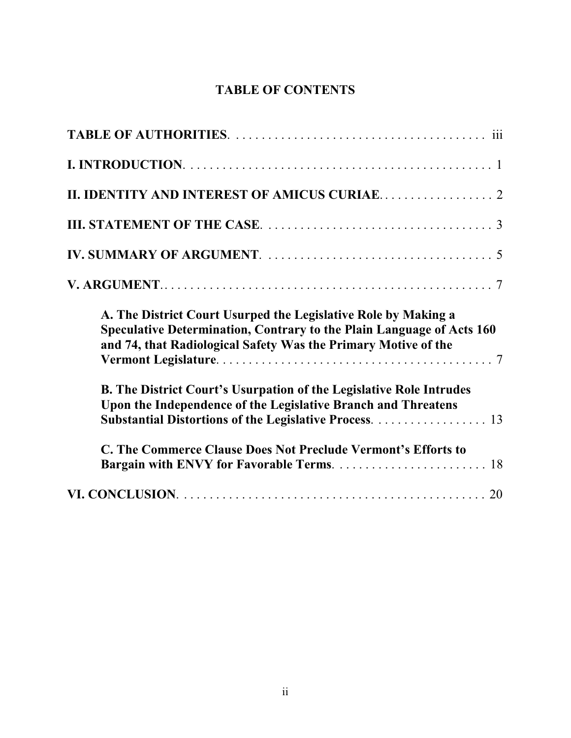## **TABLE OF CONTENTS**

| A. The District Court Usurped the Legislative Role by Making a<br>Speculative Determination, Contrary to the Plain Language of Acts 160<br>and 74, that Radiological Safety Was the Primary Motive of the |
|-----------------------------------------------------------------------------------------------------------------------------------------------------------------------------------------------------------|
| B. The District Court's Usurpation of the Legislative Role Intrudes<br>Upon the Independence of the Legislative Branch and Threatens<br>Substantial Distortions of the Legislative Process. 13            |
| C. The Commerce Clause Does Not Preclude Vermont's Efforts to                                                                                                                                             |
|                                                                                                                                                                                                           |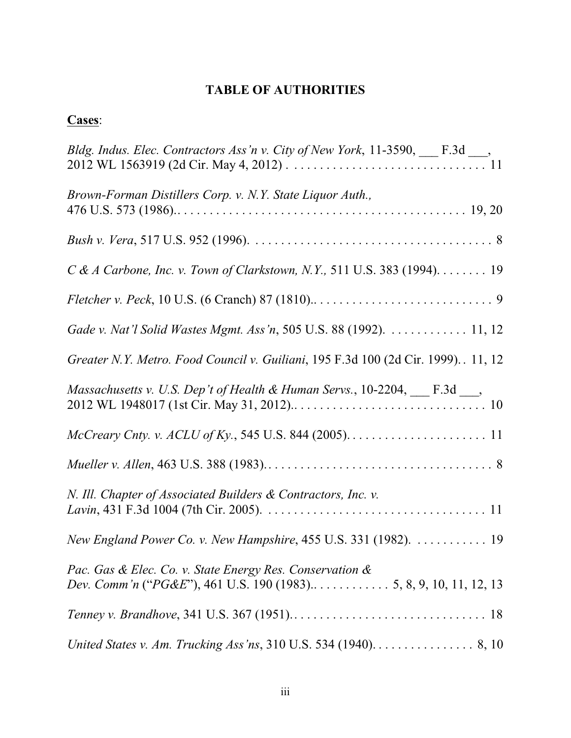## **TABLE OF AUTHORITIES**

## **Cases**:

| Bldg. Indus. Elec. Contractors Ass'n v. City of New York, 11-3590, ___ F.3d ___,           |
|--------------------------------------------------------------------------------------------|
| Brown-Forman Distillers Corp. v. N.Y. State Liquor Auth.,                                  |
|                                                                                            |
| $C & A$ Carbone, Inc. v. Town of Clarkstown, N.Y., 511 U.S. 383 (1994). 19                 |
|                                                                                            |
| Gade v. Nat'l Solid Wastes Mgmt. Ass'n, 505 U.S. 88 (1992).  11, 12                        |
| Greater N.Y. Metro. Food Council v. Guiliani, 195 F.3d 100 (2d Cir. 1999). . 11, 12        |
| Massachusetts v. U.S. Dep't of Health & Human Servs., 10-2204, ___ F.3d ___,               |
|                                                                                            |
|                                                                                            |
| N. Ill. Chapter of Associated Builders & Contractors, Inc. v.                              |
| New England Power Co. v. New Hampshire, 455 U.S. 331 (1982). 19                            |
| Pac. Gas & Elec. Co. v. State Energy Res. Conservation &                                   |
|                                                                                            |
| United States v. Am. Trucking Ass'ns, 310 U.S. 534 (1940). $\dots \dots \dots \dots$ 8, 10 |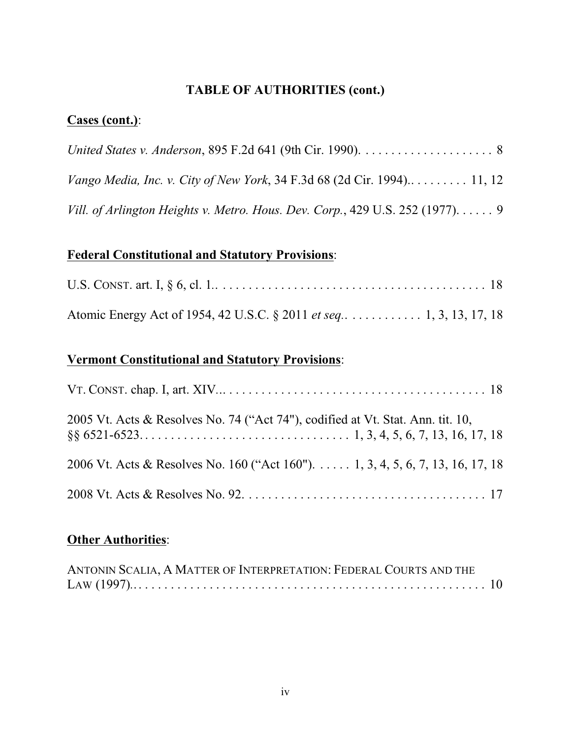## **TABLE OF AUTHORITIES (cont.)**

## **Cases (cont.)**:

| Vill. of Arlington Heights v. Metro. Hous. Dev. Corp., 429 U.S. 252 (1977). $\dots$ . 9 |  |
|-----------------------------------------------------------------------------------------|--|

## **Federal Constitutional and Statutory Provisions**:

| Atomic Energy Act of 1954, 42 U.S.C. § 2011 <i>et seq</i> 1, 3, 13, 17, 18 |  |
|----------------------------------------------------------------------------|--|

## **Vermont Constitutional and Statutory Provisions**:

| 2005 Vt. Acts & Resolves No. 74 ("Act 74"), codified at Vt. Stat. Ann. tit. 10, |
|---------------------------------------------------------------------------------|
| 2006 Vt. Acts & Resolves No. 160 ("Act 160"). 1, 3, 4, 5, 6, 7, 13, 16, 17, 18  |
|                                                                                 |

## **Other Authorities**:

| ANTONIN SCALIA, A MATTER OF INTERPRETATION: FEDERAL COURTS AND THE |  |
|--------------------------------------------------------------------|--|
|                                                                    |  |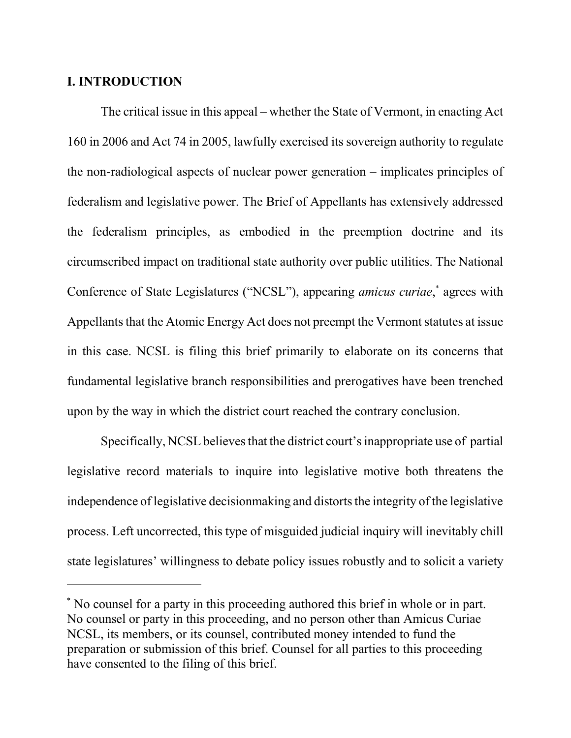#### **I. INTRODUCTION**

The critical issue in this appeal – whether the State of Vermont, in enacting Act 160 in 2006 and Act 74 in 2005, lawfully exercised its sovereign authority to regulate the non-radiological aspects of nuclear power generation – implicates principles of federalism and legislative power. The Brief of Appellants has extensively addressed the federalism principles, as embodied in the preemption doctrine and its circumscribed impact on traditional state authority over public utilities. The National Conference of State Legislatures ("NCSL"), appearing *amicus curiae*,<sup>\*</sup> agrees with Appellants that the Atomic Energy Act does not preempt the Vermont statutes at issue in this case. NCSL is filing this brief primarily to elaborate on its concerns that fundamental legislative branch responsibilities and prerogatives have been trenched upon by the way in which the district court reached the contrary conclusion.

Specifically, NCSL believes that the district court's inappropriate use of partial legislative record materials to inquire into legislative motive both threatens the independence of legislative decision making and distorts the integrity of the legislative process. Left uncorrected, this type of misguided judicial inquiry will inevitably chill state legislatures' willingness to debate policy issues robustly and to solicit a variety

No counsel for a party in this proceeding authored this brief in whole or in part. \* No counsel or party in this proceeding, and no person other than Amicus Curiae NCSL, its members, or its counsel, contributed money intended to fund the preparation or submission of this brief. Counsel for all parties to this proceeding have consented to the filing of this brief.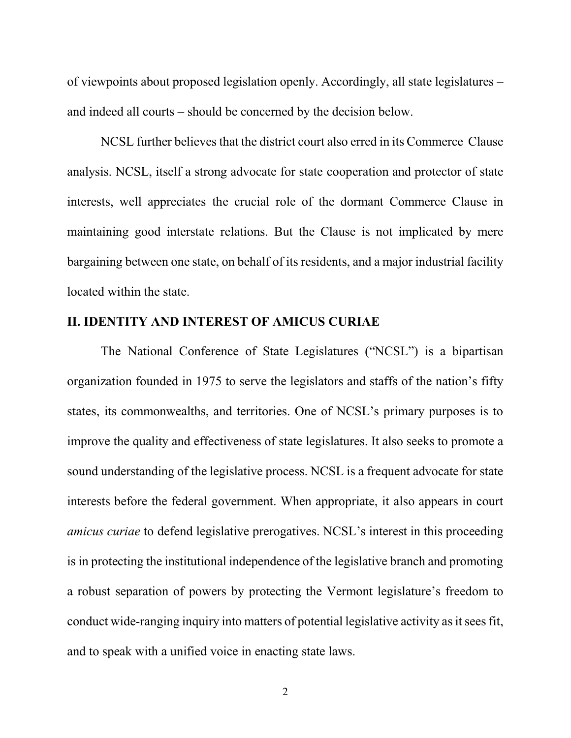of viewpoints about proposed legislation openly. Accordingly, all state legislatures – and indeed all courts – should be concerned by the decision below.

NCSL further believes that the district court also erred in its Commerce Clause analysis. NCSL, itself a strong advocate for state cooperation and protector of state interests, well appreciates the crucial role of the dormant Commerce Clause in maintaining good interstate relations. But the Clause is not implicated by mere bargaining between one state, on behalf of its residents, and a major industrial facility located within the state.

#### **II. IDENTITY AND INTEREST OF AMICUS CURIAE**

The National Conference of State Legislatures ("NCSL") is a bipartisan organization founded in 1975 to serve the legislators and staffs of the nation's fifty states, its commonwealths, and territories. One of NCSL's primary purposes is to improve the quality and effectiveness of state legislatures. It also seeks to promote a sound understanding of the legislative process. NCSL is a frequent advocate for state interests before the federal government. When appropriate, it also appears in court *amicus curiae* to defend legislative prerogatives. NCSL's interest in this proceeding is in protecting the institutional independence of the legislative branch and promoting a robust separation of powers by protecting the Vermont legislature's freedom to conduct wide-ranging inquiry into matters of potential legislative activity as it sees fit, and to speak with a unified voice in enacting state laws.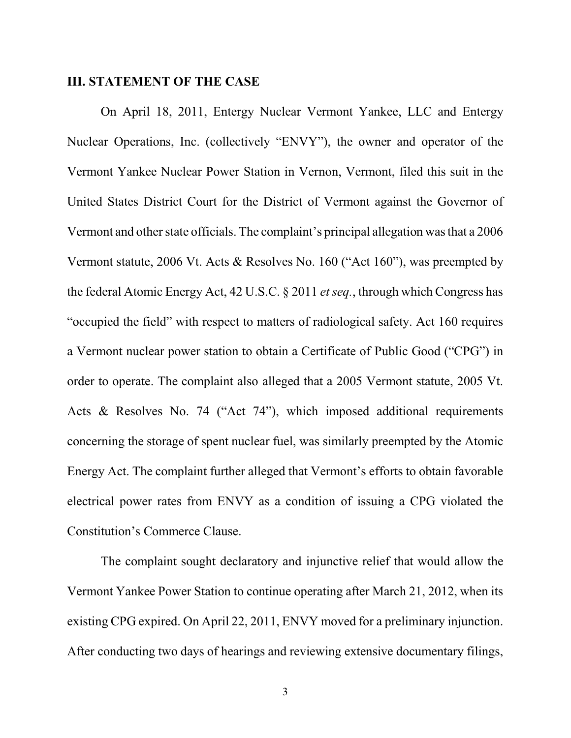#### **III. STATEMENT OF THE CASE**

On April 18, 2011, Entergy Nuclear Vermont Yankee, LLC and Entergy Nuclear Operations, Inc. (collectively "ENVY"), the owner and operator of the Vermont Yankee Nuclear Power Station in Vernon, Vermont, filed this suit in the United States District Court for the District of Vermont against the Governor of Vermont and other state officials. The complaint's principal allegation was that a 2006 Vermont statute, 2006 Vt. Acts & Resolves No. 160 ("Act 160"), was preempted by the federal Atomic Energy Act, 42 U.S.C. § 2011 *etseq.*, through which Congress has "occupied the field" with respect to matters of radiological safety. Act 160 requires a Vermont nuclear power station to obtain a Certificate of Public Good ("CPG") in order to operate. The complaint also alleged that a 2005 Vermont statute, 2005 Vt. Acts & Resolves No. 74 ("Act 74"), which imposed additional requirements concerning the storage of spent nuclear fuel, was similarly preempted by the Atomic Energy Act. The complaint further alleged that Vermont's efforts to obtain favorable electrical power rates from ENVY as a condition of issuing a CPG violated the Constitution's Commerce Clause.

The complaint sought declaratory and injunctive relief that would allow the Vermont Yankee Power Station to continue operating after March 21, 2012, when its existing CPG expired. On April 22, 2011, ENVY moved for a preliminary injunction. After conducting two days of hearings and reviewing extensive documentary filings,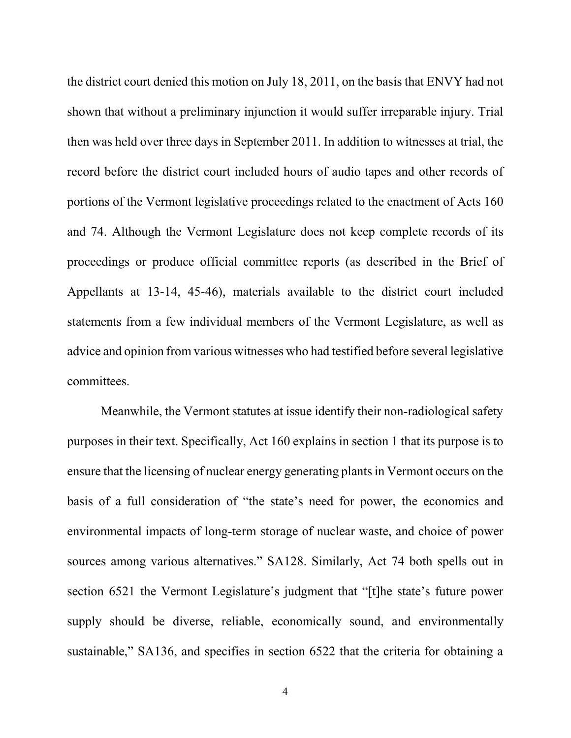the district court denied this motion on July 18, 2011, on the basis that ENVY had not shown that without a preliminary injunction it would suffer irreparable injury. Trial then was held over three days in September 2011. In addition to witnesses at trial, the record before the district court included hours of audio tapes and other records of portions of the Vermont legislative proceedings related to the enactment of Acts 160 and 74. Although the Vermont Legislature does not keep complete records of its proceedings or produce official committee reports (as described in the Brief of Appellants at 13-14, 45-46), materials available to the district court included statements from a few individual members of the Vermont Legislature, as well as advice and opinion from various witnesses who had testified before several legislative committees.

Meanwhile, the Vermont statutes at issue identify their non-radiological safety purposes in their text. Specifically, Act 160 explains in section 1 that its purpose is to ensure that the licensing of nuclear energy generating plantsin Vermont occurs on the basis of a full consideration of "the state's need for power, the economics and environmental impacts of long-term storage of nuclear waste, and choice of power sources among various alternatives." SA128. Similarly, Act 74 both spells out in section 6521 the Vermont Legislature's judgment that "[t]he state's future power supply should be diverse, reliable, economically sound, and environmentally sustainable," SA136, and specifies in section 6522 that the criteria for obtaining a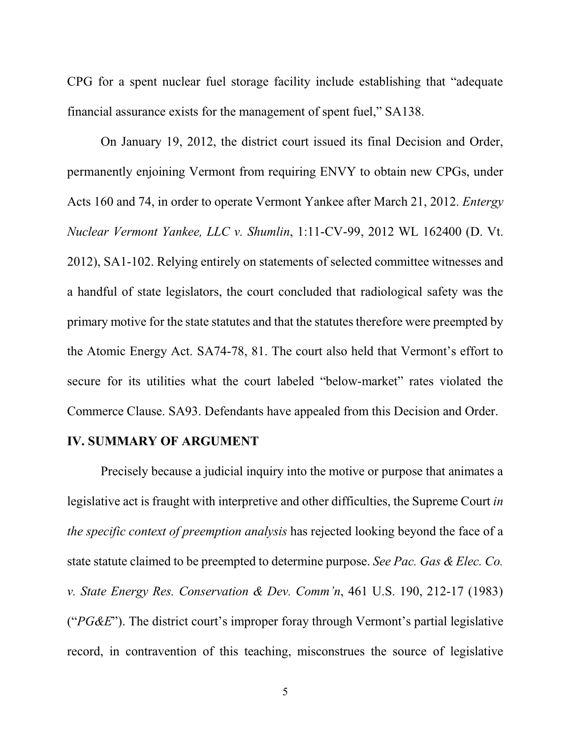CPG for a spent nuclear fuel storage facility include establishing that "adequate financial assurance exists for the management of spent fuel," SA138.

On January 19, 2012, the district court issued its final Decision and Order, permanently enjoining Vermont from requiring ENVY to obtain new CPGs, under Acts 160 and 74, in order to operate Vermont Yankee after March 21, 2012. *Entergy Nuclear Vermont Yankee, LLC v. Shumlin*, 1:11-CV-99, 2012 WL 162400 (D. Vt. 2012), SA1-102. Relying entirely on statements of selected committee witnesses and a handful of state legislators, the court concluded that radiological safety was the primary motive for the state statutes and that the statutes therefore were preempted by the Atomic Energy Act. SA74-78, 81. The court also held that Vermont's effort to secure for its utilities what the court labeled "below-market" rates violated the Commerce Clause. SA93. Defendants have appealed from this Decision and Order.

#### **IV. SUMMARY OF ARGUMENT**

Precisely because a judicial inquiry into the motive or purpose that animates a legislative act is fraught with interpretive and other difficulties, the Supreme Court *in the specific context of preemption analysis* has rejected looking beyond the face of a state statute claimed to be preempted to determine purpose. *See Pac. Gas & Elec. Co. v. State Energy Res. Conservation & Dev. Comm'n*, 461 U.S. 190, 212-17 (1983) ("*PG&E*"). The district court's improper foray through Vermont's partial legislative record, in contravention of this teaching, misconstrues the source of legislative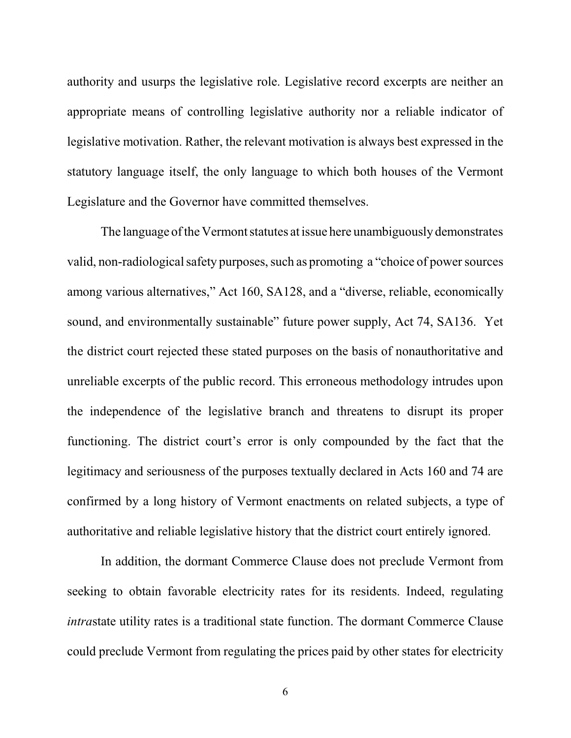authority and usurps the legislative role. Legislative record excerpts are neither an appropriate means of controlling legislative authority nor a reliable indicator of legislative motivation. Rather, the relevant motivation is always best expressed in the statutory language itself, the only language to which both houses of the Vermont Legislature and the Governor have committed themselves.

The language of the Vermont statutes at issue here unambiguously demonstrates valid, non-radiological safety purposes, such as promoting a "choice of power sources" among various alternatives," Act 160, SA128, and a "diverse, reliable, economically sound, and environmentally sustainable" future power supply, Act 74, SA136. Yet the district court rejected these stated purposes on the basis of nonauthoritative and unreliable excerpts of the public record. This erroneous methodology intrudes upon the independence of the legislative branch and threatens to disrupt its proper functioning. The district court's error is only compounded by the fact that the legitimacy and seriousness of the purposes textually declared in Acts 160 and 74 are confirmed by a long history of Vermont enactments on related subjects, a type of authoritative and reliable legislative history that the district court entirely ignored.

In addition, the dormant Commerce Clause does not preclude Vermont from seeking to obtain favorable electricity rates for its residents. Indeed, regulating *intra*state utility rates is a traditional state function. The dormant Commerce Clause could preclude Vermont from regulating the prices paid by other states for electricity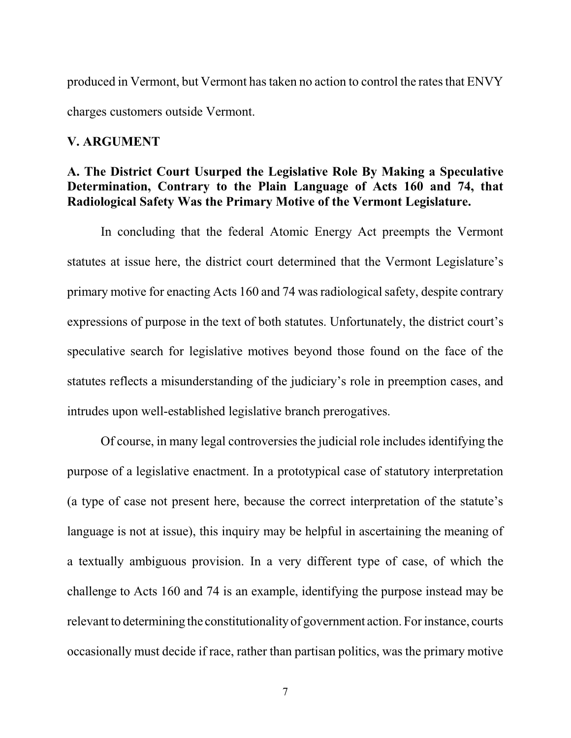produced in Vermont, but Vermont has taken no action to control the rates that ENVY charges customers outside Vermont.

#### **V. ARGUMENT**

#### **A. The District Court Usurped the Legislative Role By Making a Speculative Determination, Contrary to the Plain Language of Acts 160 and 74, that Radiological Safety Was the Primary Motive of the Vermont Legislature.**

In concluding that the federal Atomic Energy Act preempts the Vermont statutes at issue here, the district court determined that the Vermont Legislature's primary motive for enacting Acts 160 and 74 was radiological safety, despite contrary expressions of purpose in the text of both statutes. Unfortunately, the district court's speculative search for legislative motives beyond those found on the face of the statutes reflects a misunderstanding of the judiciary's role in preemption cases, and intrudes upon well-established legislative branch prerogatives.

Of course, in many legal controversies the judicial role includesidentifying the purpose of a legislative enactment. In a prototypical case of statutory interpretation (a type of case not present here, because the correct interpretation of the statute's language is not at issue), this inquiry may be helpful in ascertaining the meaning of a textually ambiguous provision. In a very different type of case, of which the challenge to Acts 160 and 74 is an example, identifying the purpose instead may be relevant to determining the constitutionality of government action. For instance, courts occasionally must decide if race, rather than partisan politics, was the primary motive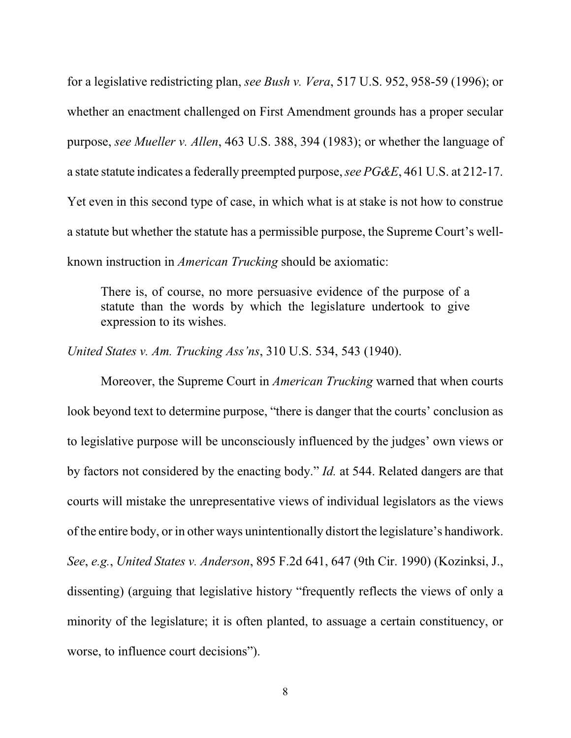for a legislative redistricting plan, *see Bush v. Vera*, 517 U.S. 952, 958-59 (1996); or whether an enactment challenged on First Amendment grounds has a proper secular purpose, *see Mueller v. Allen*, 463 U.S. 388, 394 (1983); or whether the language of a state statute indicates a federally preempted purpose,*see PG&E*, 461 U.S. at 212-17. Yet even in this second type of case, in which what is at stake is not how to construe a statute but whether the statute has a permissible purpose, the Supreme Court's wellknown instruction in *American Trucking* should be axiomatic:

There is, of course, no more persuasive evidence of the purpose of a statute than the words by which the legislature undertook to give expression to its wishes.

*United States v. Am. Trucking Ass'ns*, 310 U.S. 534, 543 (1940).

Moreover, the Supreme Court in *American Trucking* warned that when courts look beyond text to determine purpose, "there is danger that the courts' conclusion as to legislative purpose will be unconsciously influenced by the judges' own views or by factors not considered by the enacting body." *Id.* at 544. Related dangers are that courts will mistake the unrepresentative views of individual legislators as the views of the entire body, or in other ways unintentionally distort the legislature's handiwork. *See*, *e.g.*, *United States v. Anderson*, 895 F.2d 641, 647 (9th Cir. 1990) (Kozinksi, J., dissenting) (arguing that legislative history "frequently reflects the views of only a minority of the legislature; it is often planted, to assuage a certain constituency, or worse, to influence court decisions").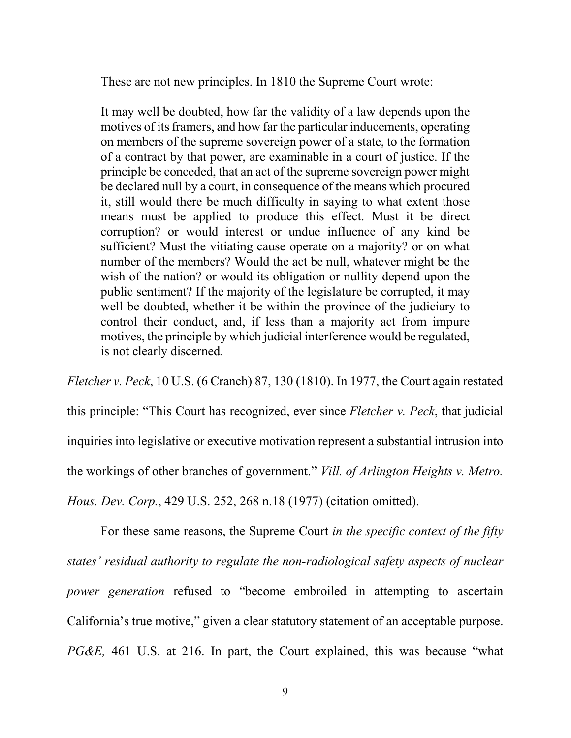These are not new principles. In 1810 the Supreme Court wrote:

It may well be doubted, how far the validity of a law depends upon the motives of its framers, and how far the particular inducements, operating on members of the supreme sovereign power of a state, to the formation of a contract by that power, are examinable in a court of justice. If the principle be conceded, that an act of the supreme sovereign power might be declared null by a court, in consequence of the means which procured it, still would there be much difficulty in saying to what extent those means must be applied to produce this effect. Must it be direct corruption? or would interest or undue influence of any kind be sufficient? Must the vitiating cause operate on a majority? or on what number of the members? Would the act be null, whatever might be the wish of the nation? or would its obligation or nullity depend upon the public sentiment? If the majority of the legislature be corrupted, it may well be doubted, whether it be within the province of the judiciary to control their conduct, and, if less than a majority act from impure motives, the principle by which judicial interference would be regulated, is not clearly discerned.

*Fletcher v. Peck*, 10 U.S. (6 Cranch) 87, 130 (1810). In 1977, the Court again restated this principle: "This Court has recognized, ever since *Fletcher v. Peck*, that judicial inquiries into legislative or executive motivation represent a substantial intrusion into the workings of other branches of government." *Vill. of Arlington Heights v. Metro. Hous. Dev. Corp.*, 429 U.S. 252, 268 n.18 (1977) (citation omitted).

For these same reasons, the Supreme Court *in the specific context of the fifty states' residual authority to regulate the non-radiological safety aspects of nuclear power generation* refused to "become embroiled in attempting to ascertain California's true motive," given a clear statutory statement of an acceptable purpose. *PG&E,* 461 U.S. at 216. In part, the Court explained, this was because "what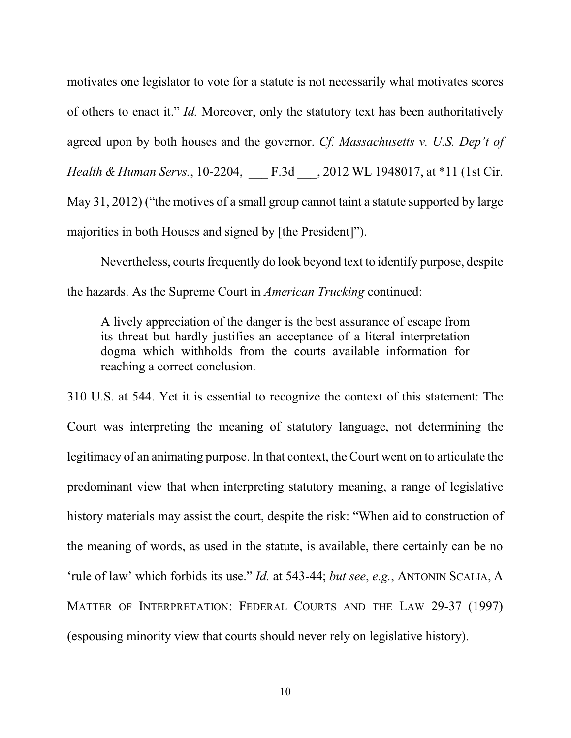motivates one legislator to vote for a statute is not necessarily what motivates scores of others to enact it." *Id.* Moreover, only the statutory text has been authoritatively agreed upon by both houses and the governor. *Cf. Massachusetts v. U.S. Dep't of Health & Human Servs.*, 10-2204, \_\_\_ F.3d \_\_\_, 2012 WL 1948017, at \*11 (1st Cir. May 31, 2012) ("the motives of a small group cannot taint a statute supported by large majorities in both Houses and signed by [the President]").

Nevertheless, courts frequently do look beyond text to identify purpose, despite the hazards. As the Supreme Court in *American Trucking* continued:

A lively appreciation of the danger is the best assurance of escape from its threat but hardly justifies an acceptance of a literal interpretation dogma which withholds from the courts available information for reaching a correct conclusion.

310 U.S. at 544. Yet it is essential to recognize the context of this statement: The Court was interpreting the meaning of statutory language, not determining the legitimacy of an animating purpose. In that context, the Court went on to articulate the predominant view that when interpreting statutory meaning, a range of legislative history materials may assist the court, despite the risk: "When aid to construction of the meaning of words, as used in the statute, is available, there certainly can be no 'rule of law' which forbids its use." *Id.* at 543-44; *but see*, *e.g.*, ANTONIN SCALIA, A MATTER OF INTERPRETATION: FEDERAL COURTS AND THE LAW 29-37 (1997) (espousing minority view that courts should never rely on legislative history).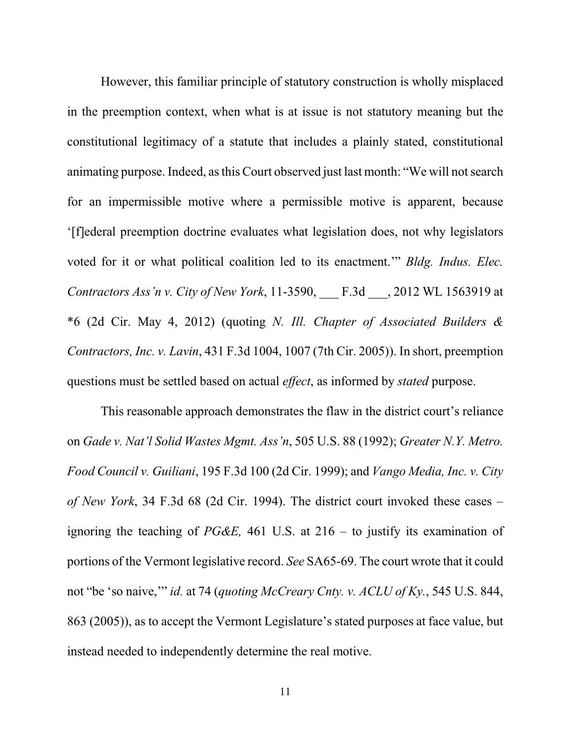However, this familiar principle of statutory construction is wholly misplaced in the preemption context, when what is at issue is not statutory meaning but the constitutional legitimacy of a statute that includes a plainly stated, constitutional animating purpose. Indeed, asthis Court observed just last month: "We will notsearch for an impermissible motive where a permissible motive is apparent, because '[f]ederal preemption doctrine evaluates what legislation does, not why legislators voted for it or what political coalition led to its enactment.'" *Bldg. Indus. Elec. Contractors Ass'n v. City of New York*, 11-3590, \_\_\_ F.3d \_\_\_, 2012 WL 1563919 at \*6 (2d Cir. May 4, 2012) (quoting *N. Ill. Chapter of Associated Builders & Contractors, Inc. v. Lavin*, 431 F.3d 1004, 1007 (7th Cir. 2005)). In short, preemption questions must be settled based on actual *effect*, as informed by *stated* purpose.

This reasonable approach demonstrates the flaw in the district court's reliance on *Gade v. Nat'l Solid Wastes Mgmt. Ass'n*, 505 U.S. 88 (1992); *Greater N.Y. Metro. Food Council v. Guiliani*, 195 F.3d 100 (2d Cir. 1999); and *Vango Media, Inc. v. City of New York*, 34 F.3d 68 (2d Cir. 1994). The district court invoked these cases – ignoring the teaching of *PG&E,* 461 U.S. at 216 – to justify its examination of portions of the Vermont legislative record. *See* SA65-69. The court wrote that it could not "be 'so naive,'" *id.* at 74 (*quoting McCreary Cnty. v. ACLU of Ky.*, 545 U.S. 844, 863 (2005)), as to accept the Vermont Legislature's stated purposes at face value, but instead needed to independently determine the real motive.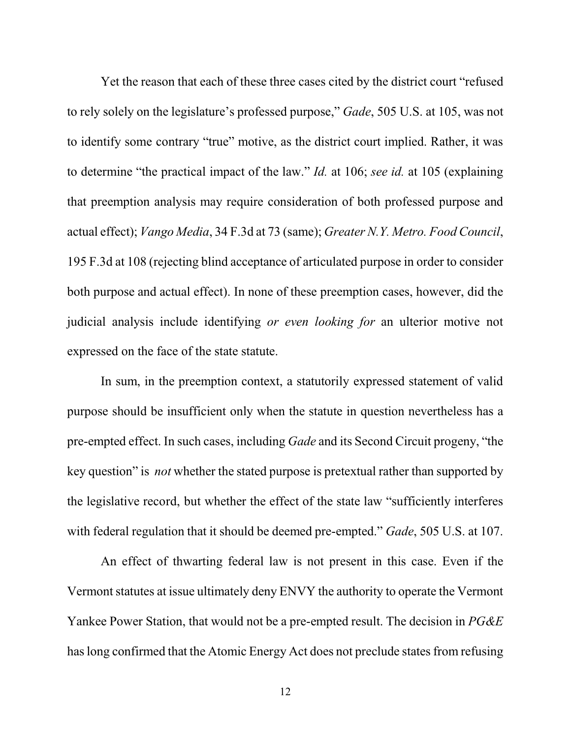Yet the reason that each of these three cases cited by the district court "refused to rely solely on the legislature's professed purpose," *Gade*, 505 U.S. at 105, was not to identify some contrary "true" motive, as the district court implied. Rather, it was to determine "the practical impact of the law." *Id.* at 106; *see id.* at 105 (explaining that preemption analysis may require consideration of both professed purpose and actual effect); *Vango Media*, 34 F.3d at 73 (same); *Greater N.Y. Metro. Food Council*, 195 F.3d at 108 (rejecting blind acceptance of articulated purpose in order to consider both purpose and actual effect). In none of these preemption cases, however, did the judicial analysis include identifying *or even looking for* an ulterior motive not expressed on the face of the state statute.

In sum, in the preemption context, a statutorily expressed statement of valid purpose should be insufficient only when the statute in question nevertheless has a pre-empted effect. In such cases, including *Gade* and its Second Circuit progeny, "the key question" is *not* whether the stated purpose is pretextual rather than supported by the legislative record, but whether the effect of the state law "sufficiently interferes with federal regulation that it should be deemed pre-empted." *Gade*, 505 U.S. at 107.

An effect of thwarting federal law is not present in this case. Even if the Vermont statutes at issue ultimately deny ENVY the authority to operate the Vermont Yankee Power Station, that would not be a pre-empted result. The decision in *PG&E* has long confirmed that the Atomic Energy Act does not preclude states from refusing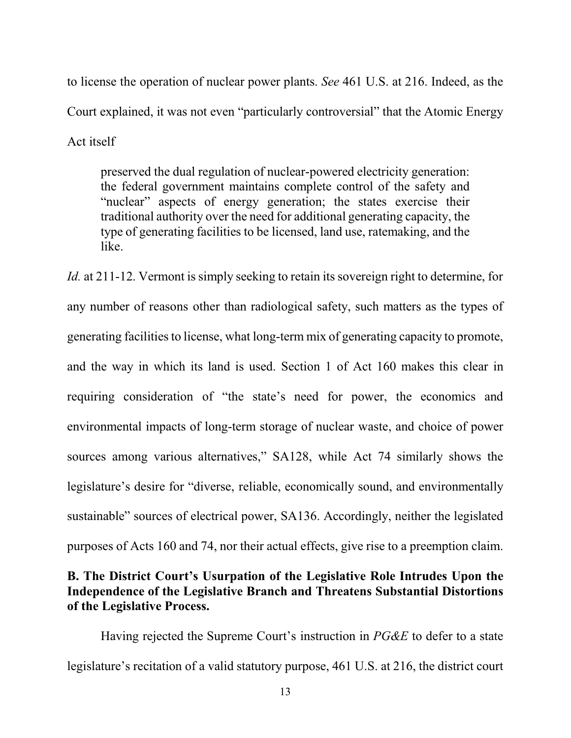to license the operation of nuclear power plants. *See* 461 U.S. at 216. Indeed, as the Court explained, it was not even "particularly controversial" that the Atomic Energy Act itself

preserved the dual regulation of nuclear-powered electricity generation: the federal government maintains complete control of the safety and "nuclear" aspects of energy generation; the states exercise their traditional authority over the need for additional generating capacity, the type of generating facilities to be licensed, land use, ratemaking, and the like.

*Id.* at 211-12. Vermont is simply seeking to retain its sovereign right to determine, for any number of reasons other than radiological safety, such matters as the types of generating facilities to license, what long-term mix of generating capacity to promote, and the way in which its land is used. Section 1 of Act 160 makes this clear in requiring consideration of "the state's need for power, the economics and environmental impacts of long-term storage of nuclear waste, and choice of power sources among various alternatives," SA128, while Act 74 similarly shows the legislature's desire for "diverse, reliable, economically sound, and environmentally sustainable" sources of electrical power, SA136. Accordingly, neither the legislated purposes of Acts 160 and 74, nor their actual effects, give rise to a preemption claim.

#### **B. The District Court's Usurpation of the Legislative Role Intrudes Upon the Independence of the Legislative Branch and Threatens Substantial Distortions of the Legislative Process.**

Having rejected the Supreme Court's instruction in *PG&E* to defer to a state legislature's recitation of a valid statutory purpose, 461 U.S. at 216, the district court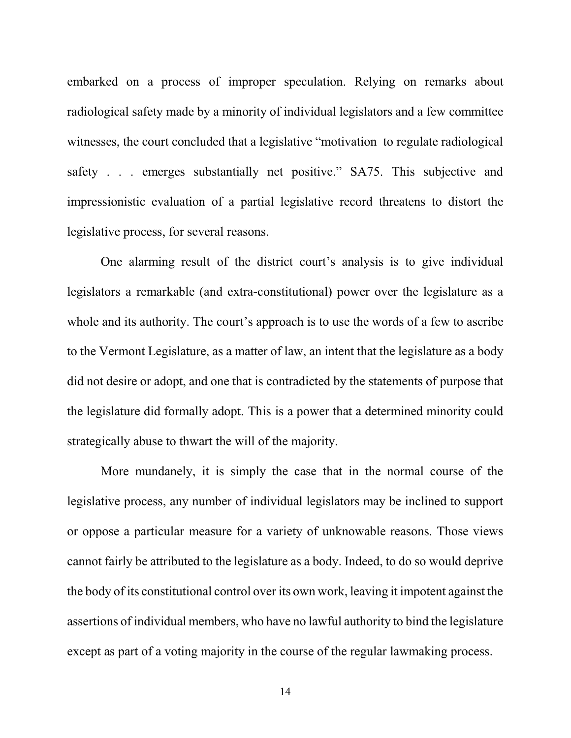embarked on a process of improper speculation. Relying on remarks about radiological safety made by a minority of individual legislators and a few committee witnesses, the court concluded that a legislative "motivation to regulate radiological safety . . . emerges substantially net positive." SA75. This subjective and impressionistic evaluation of a partial legislative record threatens to distort the legislative process, for several reasons.

One alarming result of the district court's analysis is to give individual legislators a remarkable (and extra-constitutional) power over the legislature as a whole and its authority. The court's approach is to use the words of a few to ascribe to the Vermont Legislature, as a matter of law, an intent that the legislature as a body did not desire or adopt, and one that is contradicted by the statements of purpose that the legislature did formally adopt. This is a power that a determined minority could strategically abuse to thwart the will of the majority.

More mundanely, it is simply the case that in the normal course of the legislative process, any number of individual legislators may be inclined to support or oppose a particular measure for a variety of unknowable reasons. Those views cannot fairly be attributed to the legislature as a body. Indeed, to do so would deprive the body of its constitutional control over its own work, leaving it impotent against the assertions of individual members, who have no lawful authority to bind the legislature except as part of a voting majority in the course of the regular lawmaking process.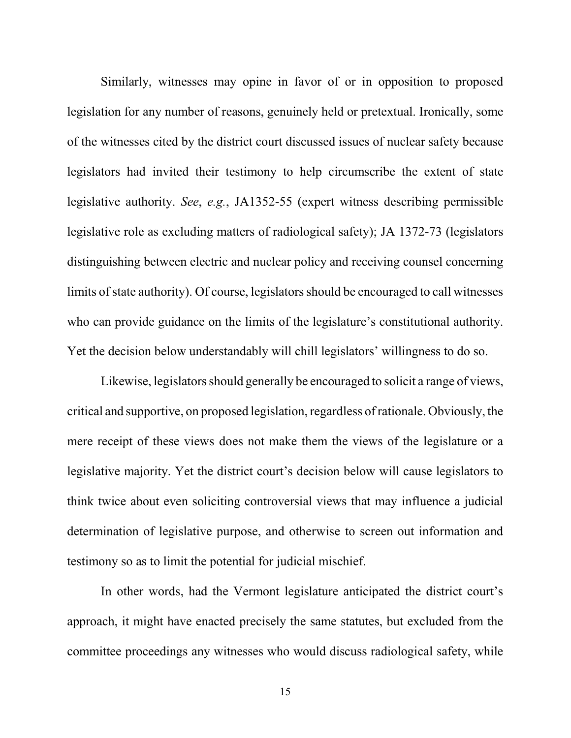Similarly, witnesses may opine in favor of or in opposition to proposed legislation for any number of reasons, genuinely held or pretextual. Ironically, some of the witnesses cited by the district court discussed issues of nuclear safety because legislators had invited their testimony to help circumscribe the extent of state legislative authority. *See*, *e.g.*, JA1352-55 (expert witness describing permissible legislative role as excluding matters of radiological safety); JA 1372-73 (legislators distinguishing between electric and nuclear policy and receiving counsel concerning limits of state authority). Of course, legislators should be encouraged to call witnesses who can provide guidance on the limits of the legislature's constitutional authority. Yet the decision below understandably will chill legislators' willingness to do so.

Likewise, legislators should generally be encouraged to solicit a range of views, critical and supportive, on proposed legislation, regardless of rationale. Obviously, the mere receipt of these views does not make them the views of the legislature or a legislative majority. Yet the district court's decision below will cause legislators to think twice about even soliciting controversial views that may influence a judicial determination of legislative purpose, and otherwise to screen out information and testimony so as to limit the potential for judicial mischief.

In other words, had the Vermont legislature anticipated the district court's approach, it might have enacted precisely the same statutes, but excluded from the committee proceedings any witnesses who would discuss radiological safety, while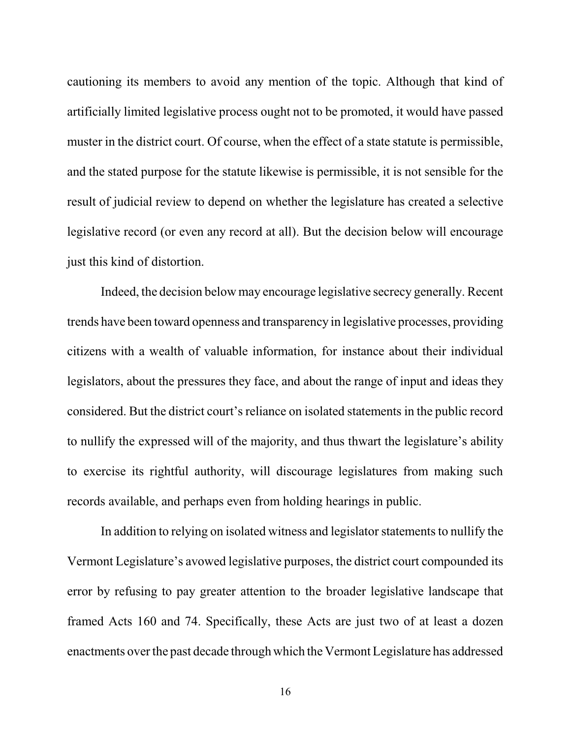cautioning its members to avoid any mention of the topic. Although that kind of artificially limited legislative process ought not to be promoted, it would have passed muster in the district court. Of course, when the effect of a state statute is permissible, and the stated purpose for the statute likewise is permissible, it is not sensible for the result of judicial review to depend on whether the legislature has created a selective legislative record (or even any record at all). But the decision below will encourage just this kind of distortion.

Indeed, the decision below may encourage legislative secrecy generally. Recent trends have been toward openness and transparency in legislative processes, providing citizens with a wealth of valuable information, for instance about their individual legislators, about the pressures they face, and about the range of input and ideas they considered. But the district court's reliance on isolated statements in the public record to nullify the expressed will of the majority, and thus thwart the legislature's ability to exercise its rightful authority, will discourage legislatures from making such records available, and perhaps even from holding hearings in public.

In addition to relying on isolated witness and legislator statements to nullify the Vermont Legislature's avowed legislative purposes, the district court compounded its error by refusing to pay greater attention to the broader legislative landscape that framed Acts 160 and 74. Specifically, these Acts are just two of at least a dozen enactments over the past decade through which theVermontLegislature has addressed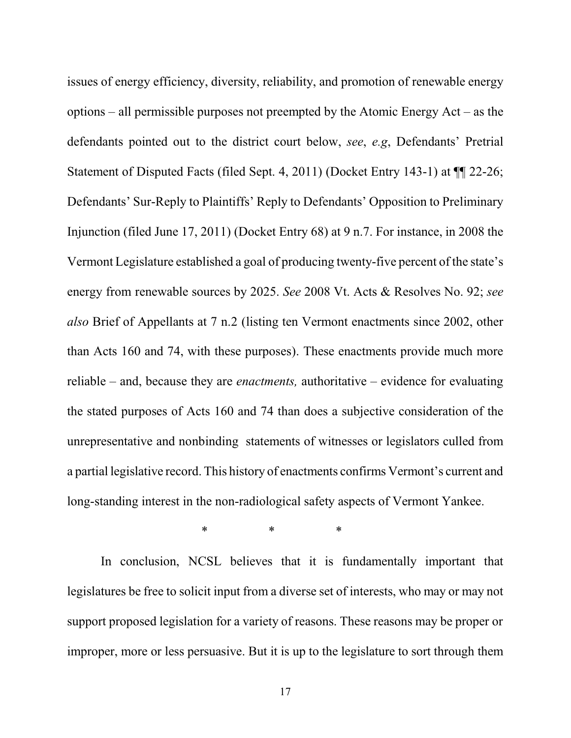issues of energy efficiency, diversity, reliability, and promotion of renewable energy options – all permissible purposes not preempted by the Atomic Energy Act – as the defendants pointed out to the district court below, *see*, *e.g*, Defendants' Pretrial Statement of Disputed Facts (filed Sept. 4, 2011) (Docket Entry 143-1) at ¶¶ 22-26; Defendants' Sur-Reply to Plaintiffs' Reply to Defendants' Opposition to Preliminary Injunction (filed June 17, 2011) (Docket Entry 68) at 9 n.7. For instance, in 2008 the Vermont Legislature established a goal of producing twenty-five percent of the state's energy from renewable sources by 2025. *See* 2008 Vt. Acts & Resolves No. 92; *see also* Brief of Appellants at 7 n.2 (listing ten Vermont enactments since 2002, other than Acts 160 and 74, with these purposes). These enactments provide much more reliable – and, because they are *enactments,* authoritative – evidence for evaluating the stated purposes of Acts 160 and 74 than does a subjective consideration of the unrepresentative and nonbinding statements of witnesses or legislators culled from a partial legislative record. This history of enactments confirms Vermont's current and long-standing interest in the non-radiological safety aspects of Vermont Yankee.

\* \* \*

In conclusion, NCSL believes that it is fundamentally important that legislatures be free to solicit input from a diverse set of interests, who may or may not support proposed legislation for a variety of reasons. These reasons may be proper or improper, more or less persuasive. But it is up to the legislature to sort through them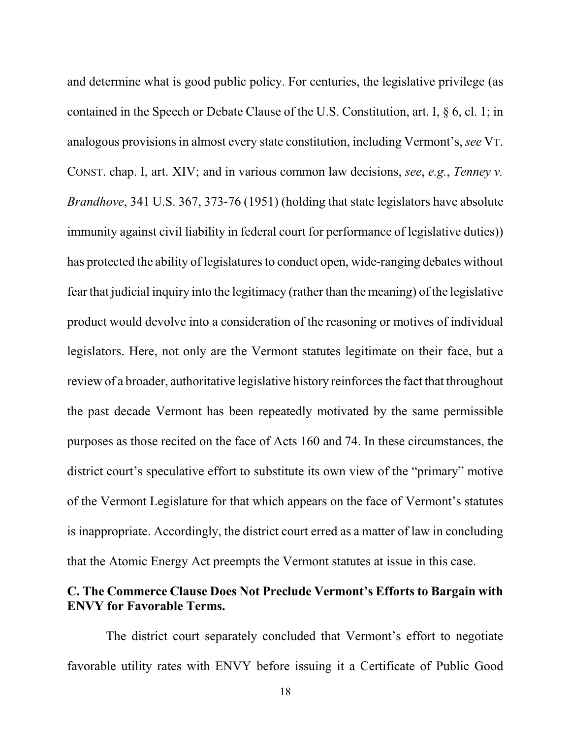and determine what is good public policy. For centuries, the legislative privilege (as contained in the Speech or Debate Clause of the U.S. Constitution, art. I, § 6, cl. 1; in analogous provisions in almost every state constitution, including Vermont's, *see* VT. CONST. chap. I, art. XIV; and in various common law decisions, *see*, *e.g.*, *Tenney v. Brandhove*, 341 U.S. 367, 373-76 (1951) (holding that state legislators have absolute immunity against civil liability in federal court for performance of legislative duties)) has protected the ability of legislatures to conduct open, wide-ranging debates without fear that judicial inquiry into the legitimacy (rather than the meaning) of the legislative product would devolve into a consideration of the reasoning or motives of individual legislators. Here, not only are the Vermont statutes legitimate on their face, but a review of a broader, authoritative legislative history reinforces the fact that throughout the past decade Vermont has been repeatedly motivated by the same permissible purposes as those recited on the face of Acts 160 and 74. In these circumstances, the district court's speculative effort to substitute its own view of the "primary" motive of the Vermont Legislature for that which appears on the face of Vermont's statutes is inappropriate. Accordingly, the district court erred as a matter of law in concluding that the Atomic Energy Act preempts the Vermont statutes at issue in this case.

#### **C. The Commerce Clause Does Not Preclude Vermont's Efforts to Bargain with ENVY for Favorable Terms.**

The district court separately concluded that Vermont's effort to negotiate favorable utility rates with ENVY before issuing it a Certificate of Public Good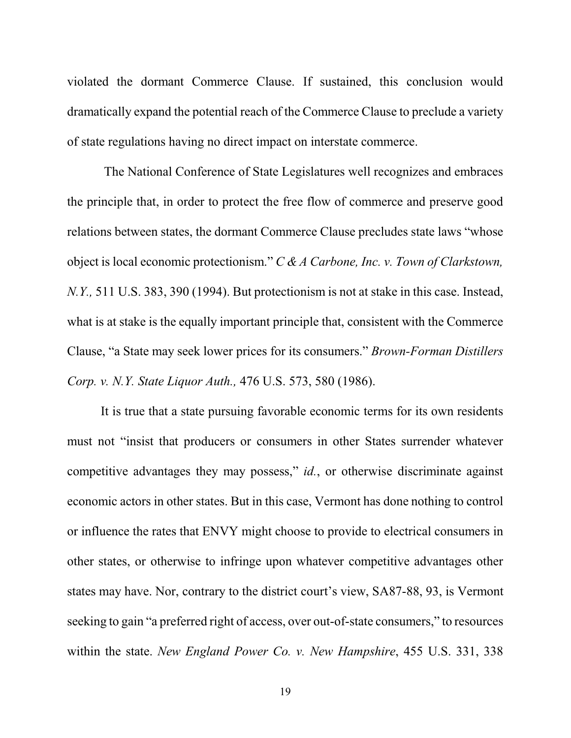violated the dormant Commerce Clause. If sustained, this conclusion would dramatically expand the potential reach of the Commerce Clause to preclude a variety of state regulations having no direct impact on interstate commerce.

The National Conference of State Legislatures well recognizes and embraces the principle that, in order to protect the free flow of commerce and preserve good relations between states, the dormant Commerce Clause precludes state laws "whose object is local economic protectionism." *C & A Carbone, Inc. v. Town of Clarkstown, N.Y.,* 511 U.S. 383, 390 (1994). But protectionism is not at stake in this case. Instead, what is at stake is the equally important principle that, consistent with the Commerce Clause, "a State may seek lower prices for its consumers." *Brown-Forman Distillers Corp. v. N.Y. State Liquor Auth.,* 476 U.S. 573, 580 (1986).

It is true that a state pursuing favorable economic terms for its own residents must not "insist that producers or consumers in other States surrender whatever competitive advantages they may possess," *id.*, or otherwise discriminate against economic actors in other states. But in this case, Vermont has done nothing to control or influence the rates that ENVY might choose to provide to electrical consumers in other states, or otherwise to infringe upon whatever competitive advantages other states may have. Nor, contrary to the district court's view, SA87-88, 93, is Vermont seeking to gain "a preferred right of access, over out-of-state consumers," to resources within the state. *New England Power Co. v. New Hampshire*, 455 U.S. 331, 338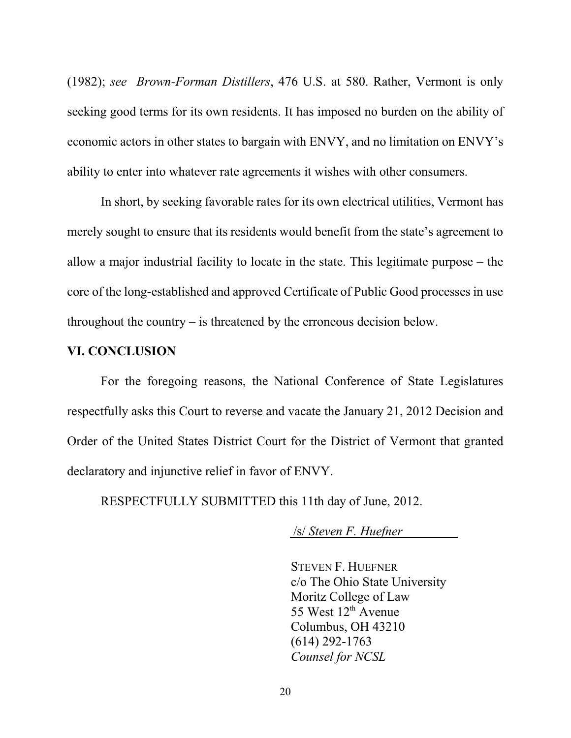(1982); *see Brown-Forman Distillers*, 476 U.S. at 580. Rather, Vermont is only seeking good terms for its own residents. It has imposed no burden on the ability of economic actors in other states to bargain with ENVY, and no limitation on ENVY's ability to enter into whatever rate agreements it wishes with other consumers.

In short, by seeking favorable rates for its own electrical utilities, Vermont has merely sought to ensure that its residents would benefit from the state's agreement to allow a major industrial facility to locate in the state. This legitimate purpose – the core of the long-established and approved Certificate of Public Good processes in use throughout the country – is threatened by the erroneous decision below.

#### **VI. CONCLUSION**

For the foregoing reasons, the National Conference of State Legislatures respectfully asks this Court to reverse and vacate the January 21, 2012 Decision and Order of the United States District Court for the District of Vermont that granted declaratory and injunctive relief in favor of ENVY.

RESPECTFULLY SUBMITTED this 11th day of June, 2012.

/s/ *Steven F. Huefner* 

STEVEN F. HUEFNER c/o The Ohio State University Moritz College of Law 55 West  $12<sup>th</sup>$  Avenue Columbus, OH 43210 (614) 292-1763 *Counsel for NCSL*